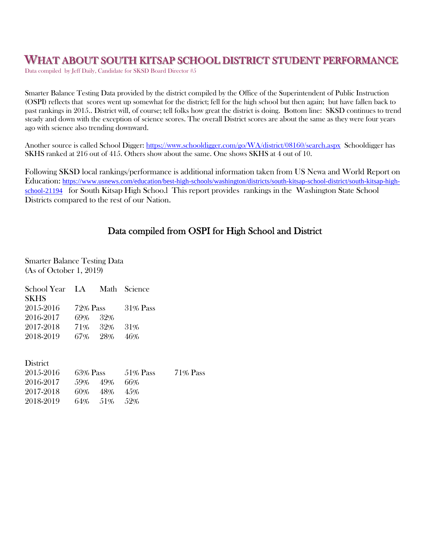# **WHAT ABOUT SOUTH KITSAP SCHOOL DISTRICT STUDENT PERFORMANCE**<br>Data compiled by Jeff Daily, Candidate for SKSD Board Director #5

Smarter Balance Testing Data provided by the district compiled by the Office of the Superintendent of Public Instruction (OSPI) reflects that scores went up somewhat for the district; fell for the high school but then again; but have fallen back to past rankings in 2015.. District will, of course; tell folks how great the district is doing. Bottom line: SKSD continues to trend steady and down with the exception of science scores. The overall District scores are about the same as they were four years ago with science also trending downward.

Another source is called School Digger: https://www.schooldigger.com/go/WA/district/08160/search.aspx Schooldigger has SKHS ranked at 216 out of 415. Others show about the same. One shows SKHS at 4 out of 10.

Following SKSD local rankings/performance is additional information taken from US Newa and World Report on Education: https://www.usnews.com/education/best-high-schools/washington/districts/south-kitsap-school-district/south-kitsap-highschool-21194 for South Kitsap High Schoo.l This report provides rankings in the Washington State School Districts compared to the rest of our Nation.

## Data compiled from OSPI for High School and District

Smarter Balance Testing Data (As of October 1, 2019)

| School Year LA Math Science |          |         |          |    |
|-----------------------------|----------|---------|----------|----|
| <b>SKHS</b>                 |          |         |          |    |
| 2015-2016                   | 72% Pass |         | 31% Pass |    |
| 2016-2017                   | 69% 32%  |         |          |    |
| 2017-2018                   |          | 71% 32% | 31\%     |    |
| 2018-2019                   | 67% 28%  |         | 46%      |    |
|                             |          |         |          |    |
|                             |          |         |          |    |
| <b>District</b>             |          |         |          |    |
| 2015-2016                   | 63% Pass |         | 51% Pass | 71 |

| 2015-2016 | 63% Pass |             | 51% Pass | 71% Pass |
|-----------|----------|-------------|----------|----------|
| 2016-2017 | 59% 49%  |             | 66%      |          |
| 2017-2018 | 60%      | 48%         | 4.5%     |          |
| 2018-2019 |          | 64% 51% 52% |          |          |